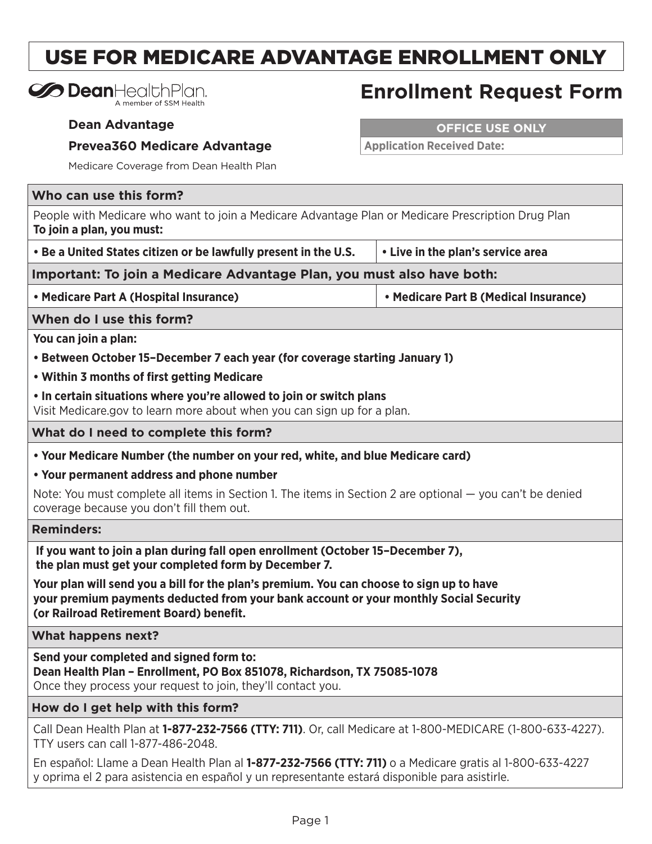## USE FOR MEDICARE ADVANTAGE ENROLLMENT ONLY

| <b>So Dean</b> HealthPlan. |
|----------------------------|
| A member of SSM Health     |

## **Enrollment Request Form**

**Dean Advantage**

## **Prevea360 Medicare Advantage**

**OFFICE USE ONLY**

**Application Received Date:**

Medicare Coverage from Dean Health Plan

|  |  |  |  | Who can use this form? |
|--|--|--|--|------------------------|
|--|--|--|--|------------------------|

People with Medicare who want to join a Medicare Advantage Plan or Medicare Prescription Drug Plan **To join a plan, you must:**

**• Be a United States citizen or be lawfully present in the U.S. • Live in the plan's service area**

**Important: To join a Medicare Advantage Plan, you must also have both:**

**• Medicare Part A (Hospital Insurance) • Medicare Part B (Medical Insurance)**

**When do I use this form?**

**You can join a plan:**

- **Between October 15–December 7 each year (for coverage starting January 1)**
- **Within 3 months of first getting Medicare**
- **In certain situations where you're allowed to join or switch plans**

Visit Medicare.gov to learn more about when you can sign up for a plan.

**What do I need to complete this form?**

- **Your Medicare Number (the number on your red, white, and blue Medicare card)**
- **Your permanent address and phone number**

Note: You must complete all items in Section 1. The items in Section 2 are optional — you can't be denied coverage because you don't fill them out.

**Reminders:**

**If you want to join a plan during fall open enrollment (October 15–December 7), the plan must get your completed form by December 7.**

**Your plan will send you a bill for the plan's premium. You can choose to sign up to have your premium payments deducted from your bank account or your monthly Social Security (or Railroad Retirement Board) benefit.**

**What happens next?**

**Send your completed and signed form to: Dean Health Plan – Enrollment, PO Box 851078, Richardson, TX 75085-1078**  Once they process your request to join, they'll contact you.

**How do I get help with this form?**

Call Dean Health Plan at **1-877-232-7566 (TTY: 711)**. Or, call Medicare at 1-800-MEDICARE (1-800-633-4227). TTY users can call 1-877-486-2048.

En español: Llame a Dean Health Plan al **1-877-232-7566 (TTY: 711)** o a Medicare gratis al 1-800-633-4227 y oprima el 2 para asistencia en español y un representante estará disponible para asistirle.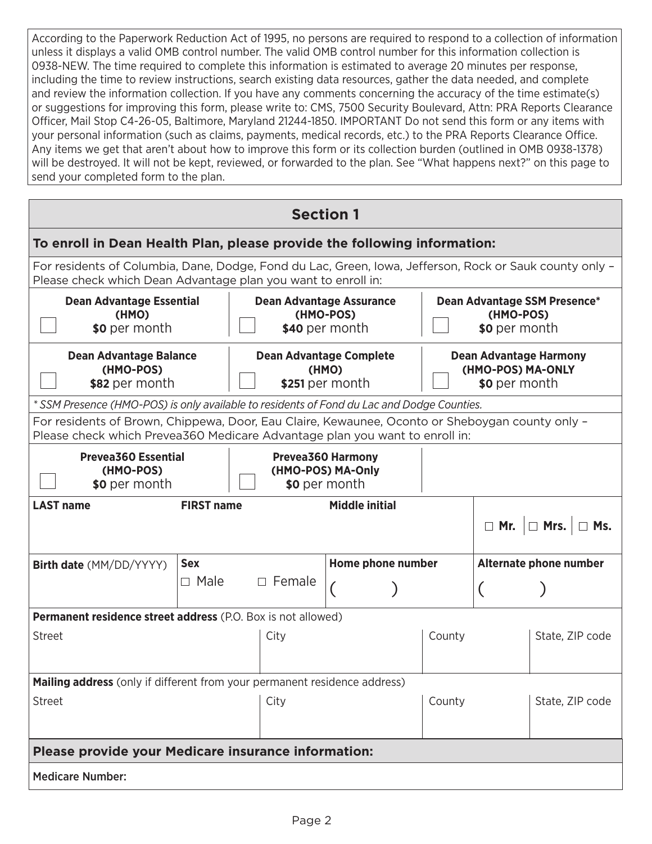According to the Paperwork Reduction Act of 1995, no persons are required to respond to a collection of information unless it displays a valid OMB control number. The valid OMB control number for this information collection is 0938-NEW. The time required to complete this information is estimated to average 20 minutes per response, including the time to review instructions, search existing data resources, gather the data needed, and complete and review the information collection. If you have any comments concerning the accuracy of the time estimate(s) or suggestions for improving this form, please write to: CMS, 7500 Security Boulevard, Attn: PRA Reports Clearance Officer, Mail Stop C4-26-05, Baltimore, Maryland 21244-1850. IMPORTANT Do not send this form or any items with your personal information (such as claims, payments, medical records, etc.) to the PRA Reports Clearance Office. Any items we get that aren't about how to improve this form or its collection burden (outlined in OMB 0938-1378) will be destroyed. It will not be kept, reviewed, or forwarded to the plan. See "What happens next?" on this page to send your completed form to the plan.

| <b>Section 1</b>                                                                                                                                                               |             |                                                            |                   |                                                                     |                                                            |                 |  |
|--------------------------------------------------------------------------------------------------------------------------------------------------------------------------------|-------------|------------------------------------------------------------|-------------------|---------------------------------------------------------------------|------------------------------------------------------------|-----------------|--|
| To enroll in Dean Health Plan, please provide the following information:                                                                                                       |             |                                                            |                   |                                                                     |                                                            |                 |  |
| For residents of Columbia, Dane, Dodge, Fond du Lac, Green, Iowa, Jefferson, Rock or Sauk county only -<br>Please check which Dean Advantage plan you want to enroll in:       |             |                                                            |                   |                                                                     |                                                            |                 |  |
| <b>Dean Advantage Essential</b><br><b>Dean Advantage Assurance</b><br>(HMO)<br>(HMO-POS)<br>\$0 per month<br>\$40 per month                                                    |             |                                                            |                   |                                                                     | Dean Advantage SSM Presence*<br>(HMO-POS)<br>\$0 per month |                 |  |
| <b>Dean Advantage Balance</b><br>(HMO-POS)<br>\$82 per month                                                                                                                   |             | <b>Dean Advantage Complete</b><br>(HMO)<br>\$251 per month |                   | <b>Dean Advantage Harmony</b><br>(HMO-POS) MA-ONLY<br>\$0 per month |                                                            |                 |  |
| * SSM Presence (HMO-POS) is only available to residents of Fond du Lac and Dodge Counties.                                                                                     |             |                                                            |                   |                                                                     |                                                            |                 |  |
| For residents of Brown, Chippewa, Door, Eau Claire, Kewaunee, Oconto or Sheboygan county only -<br>Please check which Prevea360 Medicare Advantage plan you want to enroll in: |             |                                                            |                   |                                                                     |                                                            |                 |  |
| <b>Prevea360 Essential</b><br><b>Prevea360 Harmony</b><br>(HMO-POS) MA-Only<br>(HMO-POS)<br>\$0 per month<br>\$0 per month                                                     |             |                                                            |                   |                                                                     |                                                            |                 |  |
| <b>FIRST name</b><br><b>Middle initial</b><br><b>LAST name</b><br>$\Box$ Mr. $\Box$ Mrs. $\Box$ Ms.                                                                            |             |                                                            |                   |                                                                     |                                                            |                 |  |
| <b>Birth date</b> (MM/DD/YYYY)                                                                                                                                                 | <b>Sex</b>  |                                                            | Home phone number |                                                                     | Alternate phone number                                     |                 |  |
|                                                                                                                                                                                | $\Box$ Male | $\Box$ Female                                              |                   |                                                                     |                                                            |                 |  |
| <b>Permanent residence street address</b> (P.O. Box is not allowed)                                                                                                            |             |                                                            |                   |                                                                     |                                                            |                 |  |
| Street                                                                                                                                                                         |             | City                                                       |                   | County                                                              |                                                            | State, ZIP code |  |
| <b>Mailing address</b> (only if different from your permanent residence address)                                                                                               |             |                                                            |                   |                                                                     |                                                            |                 |  |
| <b>Street</b>                                                                                                                                                                  |             | City                                                       |                   | County                                                              |                                                            | State, ZIP code |  |
| Please provide your Medicare insurance information:                                                                                                                            |             |                                                            |                   |                                                                     |                                                            |                 |  |
| <b>Medicare Number:</b>                                                                                                                                                        |             |                                                            |                   |                                                                     |                                                            |                 |  |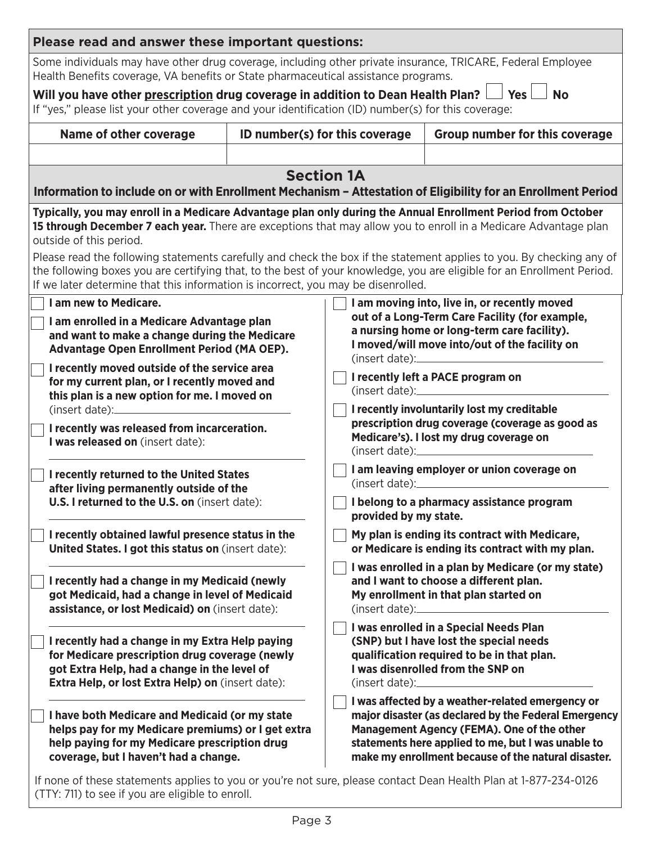| Please read and answer these important questions:                                                                                                                                                                                                                                                                                                                                                                                                                                                                                                                                                 |                                |                                                                                                                                                                                                                                                                     |  |  |  |
|---------------------------------------------------------------------------------------------------------------------------------------------------------------------------------------------------------------------------------------------------------------------------------------------------------------------------------------------------------------------------------------------------------------------------------------------------------------------------------------------------------------------------------------------------------------------------------------------------|--------------------------------|---------------------------------------------------------------------------------------------------------------------------------------------------------------------------------------------------------------------------------------------------------------------|--|--|--|
| Some individuals may have other drug coverage, including other private insurance, TRICARE, Federal Employee<br>Health Benefits coverage, VA benefits or State pharmaceutical assistance programs.                                                                                                                                                                                                                                                                                                                                                                                                 |                                |                                                                                                                                                                                                                                                                     |  |  |  |
| Yes<br><b>No</b><br>Will you have other prescription drug coverage in addition to Dean Health Plan? $\Box$<br>If "yes," please list your other coverage and your identification (ID) number(s) for this coverage:                                                                                                                                                                                                                                                                                                                                                                                 |                                |                                                                                                                                                                                                                                                                     |  |  |  |
| <b>Name of other coverage</b>                                                                                                                                                                                                                                                                                                                                                                                                                                                                                                                                                                     | ID number(s) for this coverage | <b>Group number for this coverage</b>                                                                                                                                                                                                                               |  |  |  |
|                                                                                                                                                                                                                                                                                                                                                                                                                                                                                                                                                                                                   |                                |                                                                                                                                                                                                                                                                     |  |  |  |
| Information to include on or with Enrollment Mechanism - Attestation of Eligibility for an Enrollment Period                                                                                                                                                                                                                                                                                                                                                                                                                                                                                      | <b>Section 1A</b>              |                                                                                                                                                                                                                                                                     |  |  |  |
| Typically, you may enroll in a Medicare Advantage plan only during the Annual Enrollment Period from October<br>15 through December 7 each year. There are exceptions that may allow you to enroll in a Medicare Advantage plan<br>outside of this period.<br>Please read the following statements carefully and check the box if the statement applies to you. By checking any of<br>the following boxes you are certifying that, to the best of your knowledge, you are eligible for an Enrollment Period.<br>If we later determine that this information is incorrect, you may be disenrolled. |                                |                                                                                                                                                                                                                                                                     |  |  |  |
| I am new to Medicare.<br>I am enrolled in a Medicare Advantage plan<br>and want to make a change during the Medicare<br>Advantage Open Enrollment Period (MA OEP).                                                                                                                                                                                                                                                                                                                                                                                                                                |                                | I am moving into, live in, or recently moved<br>out of a Long-Term Care Facility (for example,<br>a nursing home or long-term care facility).<br>I moved/will move into/out of the facility on                                                                      |  |  |  |
| I recently moved outside of the service area<br>for my current plan, or I recently moved and<br>this plan is a new option for me. I moved on<br>I recently was released from incarceration.<br>I was released on (insert date):                                                                                                                                                                                                                                                                                                                                                                   |                                | I recently left a PACE program on<br>(inset date):<br>I recently involuntarily lost my creditable<br>prescription drug coverage (coverage as good as<br>Medicare's). I lost my drug coverage on<br>(insert date):                                                   |  |  |  |
| I recently returned to the United States<br>after living permanently outside of the<br>U.S. I returned to the U.S. on (insert date):                                                                                                                                                                                                                                                                                                                                                                                                                                                              |                                | I am leaving employer or union coverage on<br>(insert date):<br>I belong to a pharmacy assistance program<br>provided by my state.<br>My plan is ending its contract with Medicare,<br>or Medicare is ending its contract with my plan.                             |  |  |  |
| I recently obtained lawful presence status in the<br>United States. I got this status on (insert date):                                                                                                                                                                                                                                                                                                                                                                                                                                                                                           |                                |                                                                                                                                                                                                                                                                     |  |  |  |
| I recently had a change in my Medicaid (newly<br>got Medicaid, had a change in level of Medicaid<br>assistance, or lost Medicaid) on (insert date):                                                                                                                                                                                                                                                                                                                                                                                                                                               |                                | I was enrolled in a plan by Medicare (or my state)<br>and I want to choose a different plan.<br>My enrollment in that plan started on<br>$(inset date)$ :                                                                                                           |  |  |  |
| I recently had a change in my Extra Help paying<br>for Medicare prescription drug coverage (newly<br>got Extra Help, had a change in the level of<br>Extra Help, or lost Extra Help) on (insert date):                                                                                                                                                                                                                                                                                                                                                                                            |                                | I was enrolled in a Special Needs Plan<br>(SNP) but I have lost the special needs<br>qualification required to be in that plan.<br>I was disenrolled from the SNP on                                                                                                |  |  |  |
| I have both Medicare and Medicaid (or my state<br>helps pay for my Medicare premiums) or I get extra<br>help paying for my Medicare prescription drug<br>coverage, but I haven't had a change.                                                                                                                                                                                                                                                                                                                                                                                                    |                                | I was affected by a weather-related emergency or<br>major disaster (as declared by the Federal Emergency<br>Management Agency (FEMA). One of the other<br>statements here applied to me, but I was unable to<br>make my enrollment because of the natural disaster. |  |  |  |

If none of these statements applies to you or you're not sure, please contact Dean Health Plan at 1-877-234-0126 (TTY: 711) to see if you are eligible to enroll.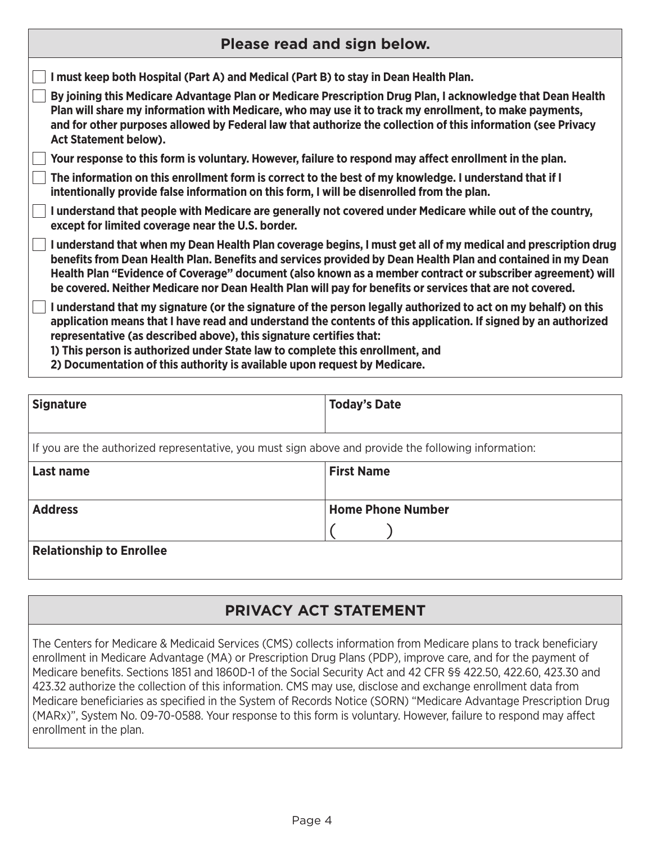| Please read and sign below.                                                                                                                                                                                                                                                                                                                                                                                                                              |  |  |  |  |  |  |
|----------------------------------------------------------------------------------------------------------------------------------------------------------------------------------------------------------------------------------------------------------------------------------------------------------------------------------------------------------------------------------------------------------------------------------------------------------|--|--|--|--|--|--|
| must keep both Hospital (Part A) and Medical (Part B) to stay in Dean Health Plan.                                                                                                                                                                                                                                                                                                                                                                       |  |  |  |  |  |  |
| By joining this Medicare Advantage Plan or Medicare Prescription Drug Plan, I acknowledge that Dean Health<br>Plan will share my information with Medicare, who may use it to track my enrollment, to make payments,<br>and for other purposes allowed by Federal law that authorize the collection of this information (see Privacy<br><b>Act Statement below).</b>                                                                                     |  |  |  |  |  |  |
| Your response to this form is voluntary. However, failure to respond may affect enrollment in the plan.                                                                                                                                                                                                                                                                                                                                                  |  |  |  |  |  |  |
| The information on this enrollment form is correct to the best of my knowledge. I understand that if I<br>intentionally provide false information on this form, I will be disenrolled from the plan.                                                                                                                                                                                                                                                     |  |  |  |  |  |  |
| I understand that people with Medicare are generally not covered under Medicare while out of the country,<br>except for limited coverage near the U.S. border.                                                                                                                                                                                                                                                                                           |  |  |  |  |  |  |
| I understand that when my Dean Health Plan coverage begins, I must get all of my medical and prescription drug<br>benefits from Dean Health Plan. Benefits and services provided by Dean Health Plan and contained in my Dean<br>Health Plan "Evidence of Coverage" document (also known as a member contract or subscriber agreement) will<br>be covered. Neither Medicare nor Dean Health Plan will pay for benefits or services that are not covered. |  |  |  |  |  |  |
| I understand that my signature (or the signature of the person legally authorized to act on my behalf) on this<br>application means that I have read and understand the contents of this application. If signed by an authorized<br>representative (as described above), this signature certifies that:<br>1) This person is authorized under State law to complete this enrollment, and                                                                 |  |  |  |  |  |  |

**2) Documentation of this authority is available upon request by Medicare.**

| Signature                                                                                            | <b>Today's Date</b>      |  |  |  |
|------------------------------------------------------------------------------------------------------|--------------------------|--|--|--|
|                                                                                                      |                          |  |  |  |
| If you are the authorized representative, you must sign above and provide the following information: |                          |  |  |  |
| <b>Last name</b>                                                                                     | <b>First Name</b>        |  |  |  |
|                                                                                                      |                          |  |  |  |
| <b>Address</b>                                                                                       | <b>Home Phone Number</b> |  |  |  |
|                                                                                                      |                          |  |  |  |
| <b>Relationship to Enrollee</b>                                                                      |                          |  |  |  |
|                                                                                                      |                          |  |  |  |

## **PRIVACY ACT STATEMENT**

The Centers for Medicare & Medicaid Services (CMS) collects information from Medicare plans to track beneficiary enrollment in Medicare Advantage (MA) or Prescription Drug Plans (PDP), improve care, and for the payment of Medicare benefits. Sections 1851 and 1860D-1 of the Social Security Act and 42 CFR §§ 422.50, 422.60, 423.30 and 423.32 authorize the collection of this information. CMS may use, disclose and exchange enrollment data from Medicare beneficiaries as specified in the System of Records Notice (SORN) "Medicare Advantage Prescription Drug (MARx)", System No. 09-70-0588. Your response to this form is voluntary. However, failure to respond may affect enrollment in the plan.